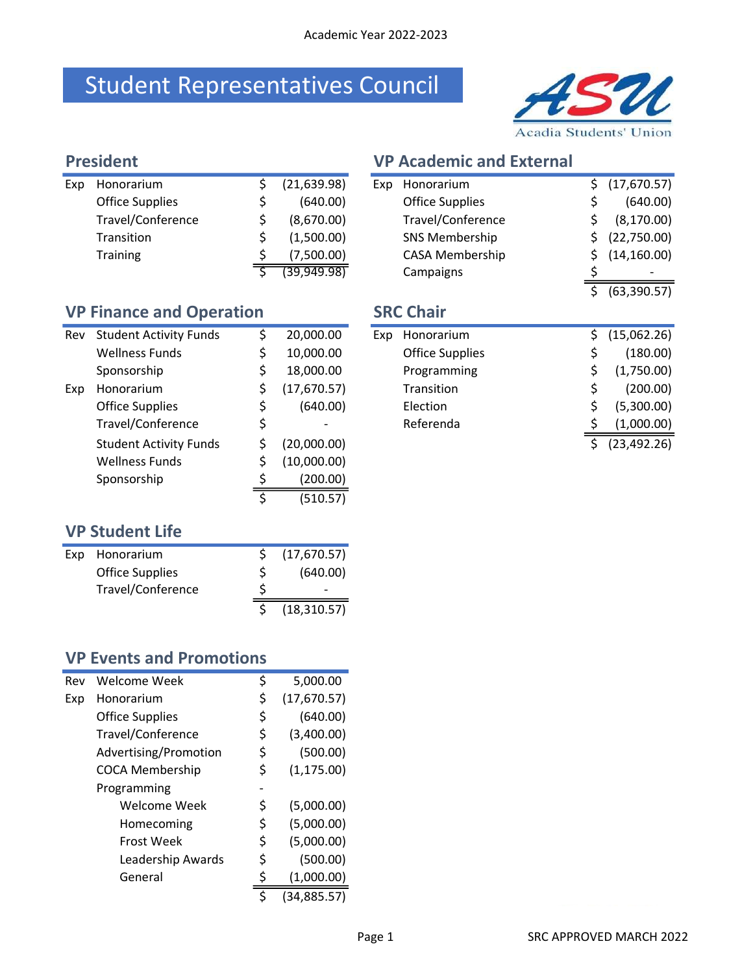## Student Representatives Council



| <b>President</b> |                        |  |              | <b>VP Academic and External</b> |                        |  |
|------------------|------------------------|--|--------------|---------------------------------|------------------------|--|
| Exp              | Honorarium             |  | (21, 639.98) | Exp                             | Honorarium             |  |
|                  | <b>Office Supplies</b> |  | (640.00)     |                                 | <b>Office Supplies</b> |  |
|                  | Travel/Conference      |  | (8,670.00)   |                                 | Travel/Conference      |  |
|                  | Transition             |  | (1,500.00)   |                                 | <b>SNS Membership</b>  |  |
|                  | <b>Training</b>        |  | (7,500.00)   |                                 | <b>CASA Membership</b> |  |
|                  |                        |  | (39,949.98)  |                                 | Campaigns              |  |

| <b>VP Finance and Operation</b> |                               |    |             |  |  |  |  |  |
|---------------------------------|-------------------------------|----|-------------|--|--|--|--|--|
| Rev                             | <b>Student Activity Funds</b> | \$ | 20,000.00   |  |  |  |  |  |
|                                 | <b>Wellness Funds</b>         | \$ | 10,000.00   |  |  |  |  |  |
|                                 | Sponsorship                   | \$ | 18,000.00   |  |  |  |  |  |
| Exp                             | Honorarium                    | \$ | (17,670.57) |  |  |  |  |  |
|                                 | <b>Office Supplies</b>        | \$ | (640.00)    |  |  |  |  |  |
|                                 | Travel/Conference             | \$ |             |  |  |  |  |  |
|                                 | <b>Student Activity Funds</b> | \$ | (20,000.00) |  |  |  |  |  |
|                                 | <b>Wellness Funds</b>         | \$ | (10,000.00) |  |  |  |  |  |
|                                 | Sponsorship                   | \$ | (200.00)    |  |  |  |  |  |
|                                 |                               | \$ | (510.57)    |  |  |  |  |  |
| <b>VP Student Life</b>          |                               |    |             |  |  |  |  |  |

| Exp                             | Honorarium                    | \$ | (21, 639.98) | Exp              | Honorarium             | \$ | (17,670.57)  |
|---------------------------------|-------------------------------|----|--------------|------------------|------------------------|----|--------------|
|                                 | <b>Office Supplies</b>        | \$ | (640.00)     |                  | <b>Office Supplies</b> | Ş  | (640.00)     |
|                                 | Travel/Conference             | \$ | (8,670.00)   |                  | Travel/Conference      | \$ | (8, 170.00)  |
|                                 | Transition                    | \$ | (1,500.00)   |                  | <b>SNS Membership</b>  | \$ | (22,750.00)  |
|                                 | <b>Training</b>               | \$ | (7,500.00)   |                  | <b>CASA Membership</b> |    | (14, 160.00) |
|                                 |                               |    | (39,949.98)  |                  | Campaigns              |    |              |
|                                 |                               |    |              |                  |                        | Ś. | (63, 390.57) |
| <b>VP Finance and Operation</b> |                               |    |              | <b>SRC Chair</b> |                        |    |              |
| Rev                             | <b>Student Activity Funds</b> | \$ | 20,000.00    | Exp              | Honorarium             | \$ | (15,062.26)  |
|                                 | <b>Wellness Funds</b>         | \$ | 10,000.00    |                  | <b>Office Supplies</b> | \$ | (180.00)     |
|                                 | Sponsorship                   | \$ | 18,000.00    |                  | Programming            |    | (1,750.00)   |
| Exp                             | Honorarium                    | \$ | (17,670.57)  |                  | Transition             | \$ | (200.00)     |
|                                 | <b>Office Supplies</b>        | \$ | (640.00)     |                  | Election               |    | (5,300.00)   |
|                                 | Travel/Conference             | \$ |              |                  | Referenda              |    | (1,000.00)   |
|                                 | <b>Student Activity Funds</b> | Ś. | (20,000.00)  |                  |                        | \$ | (23, 492.26) |
|                                 |                               |    |              |                  |                        |    |              |

| Exp | Honorarium             | (17,670.57)  |
|-----|------------------------|--------------|
|     | <b>Office Supplies</b> | (640.00)     |
|     | Travel/Conference      |              |
|     |                        | (18, 310.57) |

### VP Events and Promotions

| 5,000.00<br>(17,670.57) |
|-------------------------|
|                         |
|                         |
| (640.00)                |
| (3,400.00)              |
| (500.00)                |
| (1, 175.00)             |
|                         |
| (5,000.00)              |
| (5,000.00)              |
| (5,000.00)              |
| (500.00)                |
| (1,000.00)              |
| (34, 885.57)            |
|                         |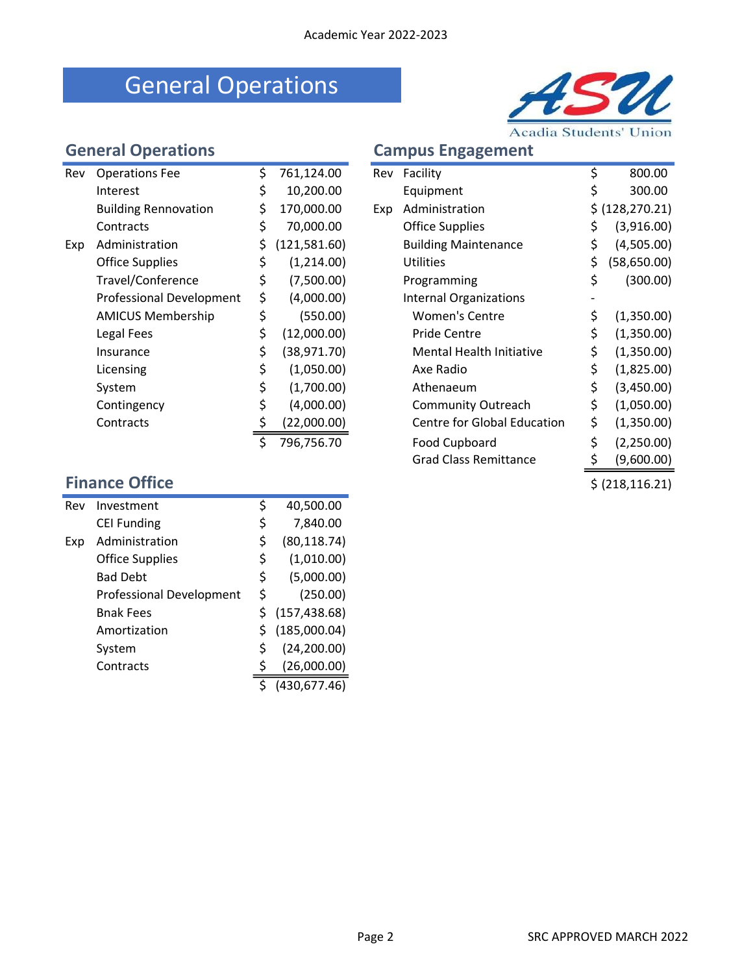## General Operations



|  | ampus Engagement |
|--|------------------|
|--|------------------|

|                           |                             |    |              |     |                                    |    | Acadia Students Union |  |  |
|---------------------------|-----------------------------|----|--------------|-----|------------------------------------|----|-----------------------|--|--|
| <b>General Operations</b> |                             |    |              |     | <b>Campus Engagement</b>           |    |                       |  |  |
| Rev                       | <b>Operations Fee</b>       | \$ | 761,124.00   |     | Rev Facility                       | \$ | 800.00                |  |  |
|                           | Interest                    | \$ | 10,200.00    |     | Equipment                          | \$ | 300.00                |  |  |
|                           | <b>Building Rennovation</b> | \$ | 170,000.00   | Exp | Administration                     |    | \$ (128, 270.21)      |  |  |
|                           | Contracts                   | \$ | 70,000.00    |     | <b>Office Supplies</b>             | \$ | (3,916.00)            |  |  |
| Exp                       | Administration              | \$ | (121,581.60) |     | <b>Building Maintenance</b>        | \$ | (4,505.00)            |  |  |
|                           | <b>Office Supplies</b>      | \$ | (1,214.00)   |     | Utilities                          | \$ | (58, 650.00)          |  |  |
|                           | Travel/Conference           | \$ | (7,500.00)   |     | Programming                        | \$ | (300.00)              |  |  |
|                           | Professional Development    | \$ | (4,000.00)   |     | <b>Internal Organizations</b>      |    |                       |  |  |
|                           | <b>AMICUS Membership</b>    | \$ | (550.00)     |     | <b>Women's Centre</b>              | \$ | (1,350.00)            |  |  |
|                           | Legal Fees                  | \$ | (12,000.00)  |     | Pride Centre                       | \$ | (1,350.00)            |  |  |
|                           | Insurance                   | \$ | (38, 971.70) |     | <b>Mental Health Initiative</b>    | \$ | (1,350.00)            |  |  |
|                           | Licensing                   | \$ | (1,050.00)   |     | Axe Radio                          | \$ | (1,825.00)            |  |  |
|                           | System                      | \$ | (1,700.00)   |     | Athenaeum                          | \$ | (3,450.00)            |  |  |
|                           | Contingency                 | \$ | (4,000.00)   |     | <b>Community Outreach</b>          | \$ | (1,050.00)            |  |  |
|                           | Contracts                   | \$ | (22,000.00)  |     | <b>Centre for Global Education</b> | \$ | (1,350.00)            |  |  |
|                           |                             | \$ | 796,756.70   |     | Food Cupboard                      | \$ | (2,250.00)            |  |  |

| Rev                   | <b>Operations Fee</b>       | \$ | 761,124.00   | Rev | Facility                           | \$<br>800.00       |
|-----------------------|-----------------------------|----|--------------|-----|------------------------------------|--------------------|
|                       | Interest                    | \$ | 10,200.00    |     | Equipment                          | \$<br>300.00       |
|                       | <b>Building Rennovation</b> | \$ | 170,000.00   | Exp | Administration                     | \$ (128, 270.21)   |
|                       | Contracts                   | \$ | 70,000.00    |     | <b>Office Supplies</b>             | \$<br>(3,916.00)   |
| Exp                   | Administration              | \$ | (121,581.60) |     | <b>Building Maintenance</b>        | \$<br>(4,505.00)   |
|                       | <b>Office Supplies</b>      | \$ | (1,214.00)   |     | <b>Utilities</b>                   | \$<br>(58, 650.00) |
|                       | Travel/Conference           | \$ | (7,500.00)   |     | Programming                        | \$<br>(300.00)     |
|                       | Professional Development    | \$ | (4,000.00)   |     | <b>Internal Organizations</b>      |                    |
|                       | <b>AMICUS Membership</b>    | \$ | (550.00)     |     | <b>Women's Centre</b>              | (1,350.00)         |
|                       | Legal Fees                  | \$ | (12,000.00)  |     | Pride Centre                       | \$<br>(1,350.00)   |
|                       | Insurance                   | \$ | (38, 971.70) |     | <b>Mental Health Initiative</b>    | \$<br>(1,350.00)   |
|                       | Licensing                   | \$ | (1,050.00)   |     | Axe Radio                          | \$<br>(1,825.00)   |
|                       | System                      | \$ | (1,700.00)   |     | Athenaeum                          | \$<br>(3,450.00)   |
|                       | Contingency                 | \$ | (4,000.00)   |     | <b>Community Outreach</b>          | \$<br>(1,050.00)   |
|                       | Contracts                   |    | (22,000.00)  |     | <b>Centre for Global Education</b> | \$<br>(1,350.00)   |
|                       |                             | \$ | 796,756.70   |     | Food Cupboard                      | \$<br>(2,250.00)   |
|                       |                             |    |              |     | <b>Grad Class Remittance</b>       | (9,600.00)         |
| <b>Finance Office</b> |                             |    |              |     |                                    | \$ (218, 116.21)   |

| Rev | Investment                      | \$ | 40,500.00     |
|-----|---------------------------------|----|---------------|
|     | <b>CEI Funding</b>              | \$ | 7,840.00      |
| Exp | Administration                  | \$ | (80, 118.74)  |
|     | <b>Office Supplies</b>          | \$ | (1,010.00)    |
|     | <b>Bad Debt</b>                 | \$ | (5,000.00)    |
|     | <b>Professional Development</b> | \$ | (250.00)      |
|     | <b>Bnak Fees</b>                | Ś  | (157, 438.68) |
|     | Amortization                    | Ś  | (185,000.04)  |
|     | System                          | \$ | (24, 200.00)  |
|     | Contracts                       | S  | (26,000.00)   |
|     |                                 |    | (430,677.46)  |
|     |                                 |    |               |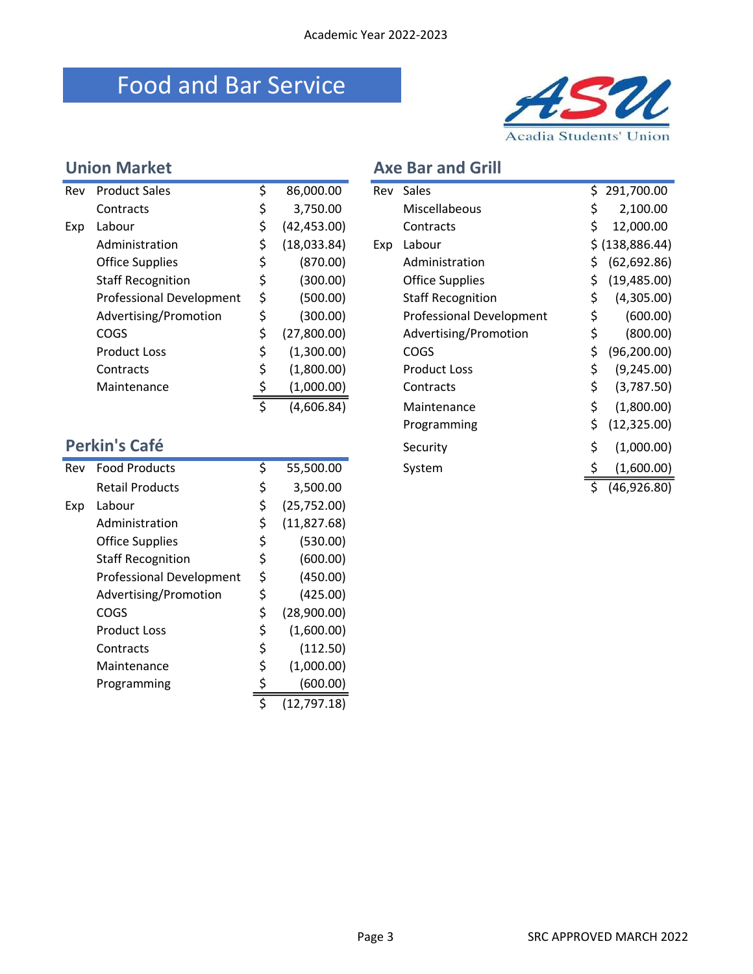### Food and Bar Service



### Union Market Axe Bar and Grill

| Rev | <b>Product Sales</b>            | \$                      | 86,000.00    | Rev | Sales                           | \$ | 291,700.00      |
|-----|---------------------------------|-------------------------|--------------|-----|---------------------------------|----|-----------------|
|     | Contracts                       | \$                      | 3,750.00     |     | Miscellabeous                   | \$ | 2,100.00        |
| Exp | Labour                          | \$                      | (42, 453.00) |     | Contracts                       |    | \$<br>12,000.00 |
|     | Administration                  | \$                      | (18,033.84)  | Exp | Labour                          |    | \$ (138,886.44) |
|     | <b>Office Supplies</b>          | \$                      | (870.00)     |     | Administration                  | \$ | (62, 692.86)    |
|     | <b>Staff Recognition</b>        | \$                      | (300.00)     |     | <b>Office Supplies</b>          | \$ | (19, 485.00)    |
|     | <b>Professional Development</b> | \$                      | (500.00)     |     | <b>Staff Recognition</b>        | \$ | (4,305.00)      |
|     | Advertising/Promotion           | \$                      | (300.00)     |     | <b>Professional Development</b> | \$ | (600.00)        |
|     | COGS                            | \$                      | (27,800.00)  |     | Advertising/Promotion           | \$ | (800.00)        |
|     | <b>Product Loss</b>             | \$                      | (1,300.00)   |     | <b>COGS</b>                     | \$ | (96, 200.00)    |
|     | Contracts                       | \$                      | (1,800.00)   |     | <b>Product Loss</b>             | \$ | (9, 245.00)     |
|     | Maintenance                     | \$                      | (1,000.00)   |     | Contracts                       | \$ | (3,787.50)      |
|     |                                 | $\overline{\mathsf{s}}$ | (4,606.84)   |     | Maintenance                     | \$ | (1,800.00)      |
|     |                                 |                         |              |     | Programming                     | \$ | (12, 325.00)    |
|     | Perkin's Café                   |                         |              |     | Security                        | \$ | (1,000.00)      |
| Rev | <b>Food Products</b>            | \$                      | 55,500.00    |     | System                          | \$ | (1,600.00)      |
|     | <b>Retail Products</b>          | \$                      | 3,500.00     |     |                                 | \$ | (46,926.80)     |
| Exp | Labour                          | \$                      | (25,752.00)  |     |                                 |    |                 |
|     | Administration                  | \$                      | (11, 827.68) |     |                                 |    |                 |
|     | <b>Office Supplies</b>          | \$                      | (530.00)     |     |                                 |    |                 |
|     | <b>Staff Recognition</b>        | \$                      | (600.00)     |     |                                 |    |                 |
|     | <b>Professional Development</b> | \$                      | (450.00)     |     |                                 |    |                 |
|     | Advertising/Promotion           | \$                      | (425.00)     |     |                                 |    |                 |
|     | COGS                            | \$                      | (28,900.00)  |     |                                 |    |                 |
|     | <b>Product Loss</b>             | \$                      | (1,600.00)   |     |                                 |    |                 |
|     | Contracts                       | \$                      | (112.50)     |     |                                 |    |                 |
|     | Maintenance                     |                         | (1,000.00)   |     |                                 |    |                 |
|     | Programming                     | $\frac{5}{5}$           | (600.00)     |     |                                 |    |                 |
|     |                                 |                         | (12, 797.18) |     |                                 |    |                 |

| Rev | <b>Product Sales</b>     | \$<br>86,000.00   | Rev | Sales                    | \$ | 291,700.00       |
|-----|--------------------------|-------------------|-----|--------------------------|----|------------------|
|     | Contracts                | \$<br>3,750.00    |     | Miscellabeous            | S  | 2,100.00         |
| Exp | Labour                   | \$<br>(42,453.00) |     | Contracts                | \$ | 12,000.00        |
|     | Administration           | \$<br>(18,033.84) | Exp | Labour                   |    | \$ (138, 886.44) |
|     | <b>Office Supplies</b>   | \$<br>(870.00)    |     | Administration           | \$ | (62, 692.86)     |
|     | <b>Staff Recognition</b> | \$<br>(300.00)    |     | <b>Office Supplies</b>   | \$ | (19, 485.00)     |
|     | Professional Development | \$<br>(500.00)    |     | <b>Staff Recognition</b> | \$ | (4,305.00)       |
|     | Advertising/Promotion    | \$<br>(300.00)    |     | Professional Development | \$ | (600.00)         |
|     | <b>COGS</b>              | \$<br>(27,800.00) |     | Advertising/Promotion    | \$ | (800.00)         |
|     | <b>Product Loss</b>      | \$<br>(1,300.00)  |     | <b>COGS</b>              | \$ | (96, 200.00)     |
|     | Contracts                | \$<br>(1,800.00)  |     | <b>Product Loss</b>      | \$ | (9,245.00)       |
|     | Maintenance              | (1,000.00)        |     | Contracts                | \$ | (3,787.50)       |
|     |                          | \$<br>(4,606.84)  |     | Maintenance              | \$ | (1,800.00)       |
|     |                          |                   |     | Programming              | \$ | (12, 325.00)     |
|     | <b>Perkin's Café</b>     |                   |     | Security                 | \$ | (1,000.00)       |
| Rev | <b>Food Products</b>     | \$<br>55,500.00   |     | System                   |    | (1,600.00)       |
|     | <b>Retail Products</b>   | \$<br>3,500.00    |     |                          | Ś. | (46,926.80)      |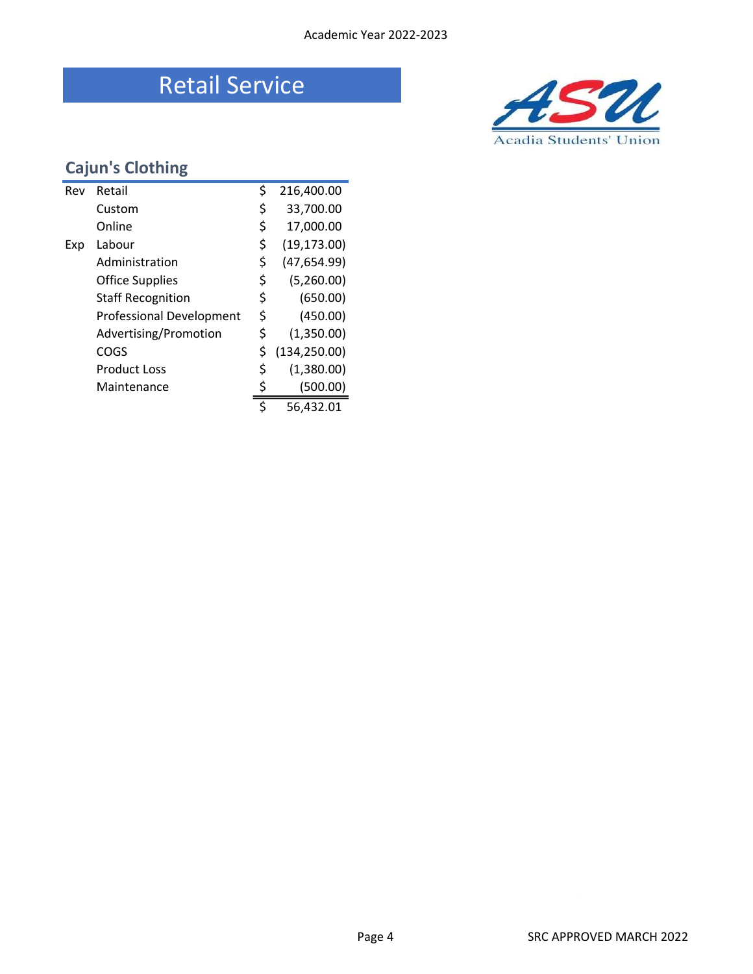### Retail Service



### Cajun's Clothing

| Rev | Retail                          | \$<br>216,400.00    |
|-----|---------------------------------|---------------------|
|     | Custom                          | \$<br>33,700.00     |
|     | Online                          | \$<br>17,000.00     |
| Exp | Labour                          | \$<br>(19, 173.00)  |
|     | Administration                  | \$<br>(47, 654.99)  |
|     | <b>Office Supplies</b>          | \$<br>(5,260.00)    |
|     | <b>Staff Recognition</b>        | \$<br>(650.00)      |
|     | <b>Professional Development</b> | \$<br>(450.00)      |
|     | Advertising/Promotion           | \$<br>(1,350.00)    |
|     | COGS                            | \$<br>(134, 250.00) |
|     | <b>Product Loss</b>             | \$<br>(1,380.00)    |
|     | Maintenance                     | (500.00)            |
|     |                                 | \$<br>56,432.01     |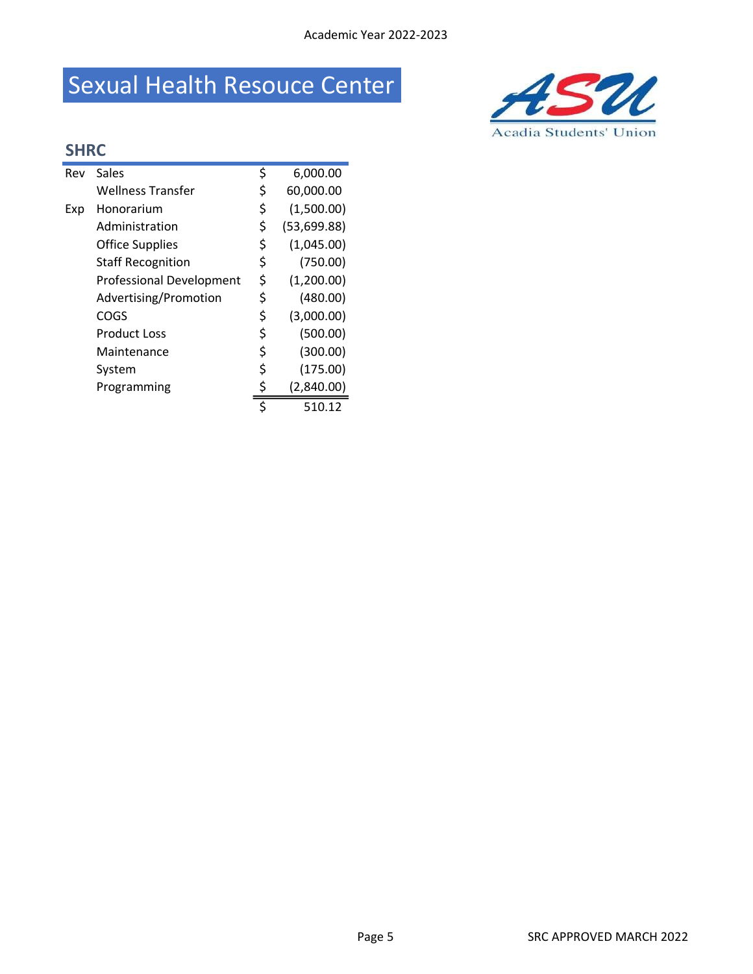## Sexual Health Resouce Center



### SHRC

| Rev | Sales                           | \$ | 6,000.00    |
|-----|---------------------------------|----|-------------|
|     | Wellness Transfer               | \$ | 60,000.00   |
| Exp | Honorarium                      | \$ | (1,500.00)  |
|     | Administration                  | \$ | (53,699.88) |
|     | <b>Office Supplies</b>          | \$ | (1,045.00)  |
|     | <b>Staff Recognition</b>        | \$ | (750.00)    |
|     | <b>Professional Development</b> | \$ | (1,200.00)  |
|     | Advertising/Promotion           | \$ | (480.00)    |
|     | COGS                            | \$ | (3,000.00)  |
|     | <b>Product Loss</b>             | \$ | (500.00)    |
|     | Maintenance                     | \$ | (300.00)    |
|     | System                          | \$ | (175.00)    |
|     | Programming                     | \$ | (2,840.00)  |
|     |                                 | Ś  | 510.12      |